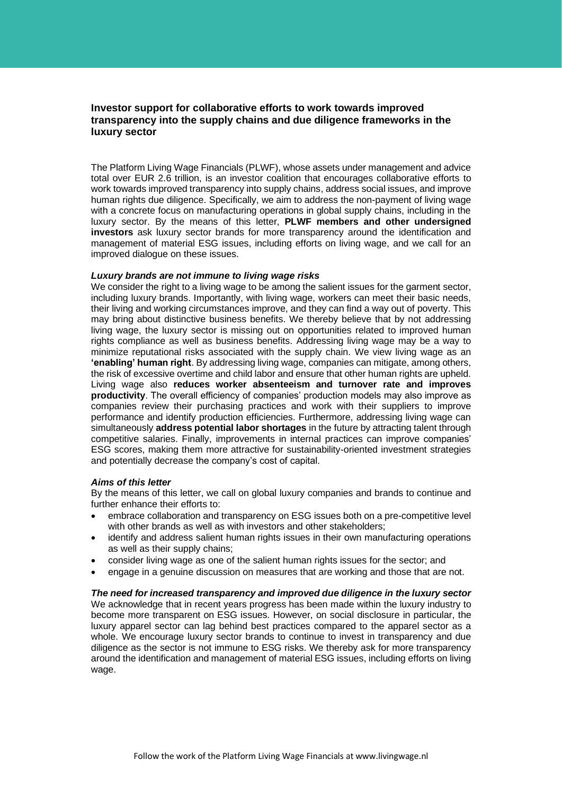# **Investor support for collaborative efforts to work towards improved transparency into the supply chains and due diligence frameworks in the luxury sector**

The Platform Living Wage Financials (PLWF), whose assets under management and advice total over EUR 2.6 trillion, is an investor coalition that encourages collaborative efforts to work towards improved transparency into supply chains, address social issues, and improve human rights due diligence. Specifically, we aim to address the non-payment of living wage with a concrete focus on manufacturing operations in global supply chains, including in the luxury sector. By the means of this letter, **PLWF members and other undersigned investors** ask luxury sector brands for more transparency around the identification and management of material ESG issues, including efforts on living wage, and we call for an improved dialogue on these issues.

### *Luxury brands are not immune to living wage risks*

We consider the right to a living wage to be among the salient issues for the garment sector, including luxury brands. Importantly, with living wage, workers can meet their basic needs, their living and working circumstances improve, and they can find a way out of poverty. This may bring about distinctive business benefits. We thereby believe that by not addressing living wage, the luxury sector is missing out on opportunities related to improved human rights compliance as well as business benefits. Addressing living wage may be a way to minimize reputational risks associated with the supply chain. We view living wage as an **'enabling' human right**. By addressing living wage, companies can mitigate, among others, the risk of excessive overtime and child labor and ensure that other human rights are upheld. Living wage also **reduces worker absenteeism and turnover rate and improves productivity**. The overall efficiency of companies' production models may also improve as companies review their purchasing practices and work with their suppliers to improve performance and identify production efficiencies. Furthermore, addressing living wage can simultaneously **address potential labor shortages** in the future by attracting talent through competitive salaries. Finally, improvements in internal practices can improve companies' ESG scores, making them more attractive for sustainability-oriented investment strategies and potentially decrease the company's cost of capital.

#### *Aims of this letter*

By the means of this letter, we call on global luxury companies and brands to continue and further enhance their efforts to:

- embrace collaboration and transparency on ESG issues both on a pre-competitive level with other brands as well as with investors and other stakeholders;
- identify and address salient human rights issues in their own manufacturing operations as well as their supply chains;
- consider living wage as one of the salient human rights issues for the sector; and
- engage in a genuine discussion on measures that are working and those that are not.

*The need for increased transparency and improved due diligence in the luxury sector* We acknowledge that in recent years progress has been made within the luxury industry to become more transparent on ESG issues. However, on social disclosure in particular, the luxury apparel sector can lag behind best practices compared to the apparel sector as a whole. We encourage luxury sector brands to continue to invest in transparency and due diligence as the sector is not immune to ESG risks. We thereby ask for more transparency around the identification and management of material ESG issues, including efforts on living wage.